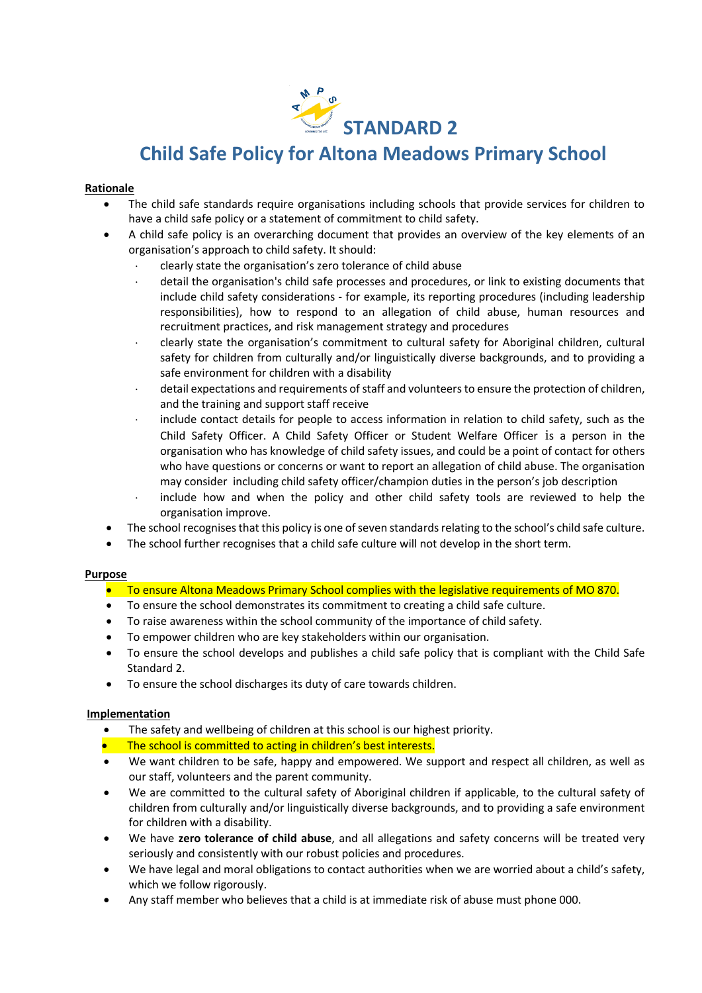

# **Child Safe Policy for Altona Meadows Primary School**

## **Rationale**

- The child safe standards require organisations including schools that provide services for children to have a child safe policy or a statement of commitment to child safety.
- A child safe policy is an overarching document that provides an overview of the key elements of an organisation's approach to child safety. It should:
	- clearly state the organisation's zero tolerance of child abuse
	- detail the organisation's child safe processes and procedures, or link to existing documents that include child safety considerations - for example, its reporting procedures (including leadership responsibilities), how to respond to an allegation of child abuse, human resources and recruitment practices, and risk management strategy and procedures
	- clearly state the organisation's commitment to cultural safety for Aboriginal children, cultural safety for children from culturally and/or linguistically diverse backgrounds, and to providing a safe environment for children with a disability
	- detail expectations and requirements of staff and volunteers to ensure the protection of children, and the training and support staff receive
	- include contact details for people to access information in relation to child safety, such as the Child Safety Officer. A Child Safety Officer or Student Welfare Officer is a person in the organisation who has knowledge of child safety issues, and could be a point of contact for others who have questions or concerns or want to report an allegation of child abuse. The organisation may consider including child safety officer/champion duties in the person's job description
	- include how and when the policy and other child safety tools are reviewed to help the organisation improve.
- The school recognises that this policy is one of seven standards relating to the school's child safe culture.
- The school further recognises that a child safe culture will not develop in the short term.

### **Purpose**

- **•** To ensure Altona Meadows Primary School complies with the legislative requirements of MO 870.
- To ensure the school demonstrates its commitment to creating a child safe culture.
- To raise awareness within the school community of the importance of child safety.
- To empower children who are key stakeholders within our organisation.
- To ensure the school develops and publishes a child safe policy that is compliant with the Child Safe Standard 2.
- To ensure the school discharges its duty of care towards children.

# **Implementation**

- The safety and wellbeing of children at this school is our highest priority.
- The school is committed to acting in children's best interests.
- We want children to be safe, happy and empowered. We support and respect all children, as well as our staff, volunteers and the parent community.
- We are committed to the cultural safety of Aboriginal children if applicable, to the cultural safety of children from culturally and/or linguistically diverse backgrounds, and to providing a safe environment for children with a disability.
- We have **zero tolerance of child abuse**, and all allegations and safety concerns will be treated very seriously and consistently with our robust policies and procedures.
- We have legal and moral obligations to contact authorities when we are worried about a child's safety, which we follow rigorously.
- Any staff member who believes that a child is at immediate risk of abuse must phone 000.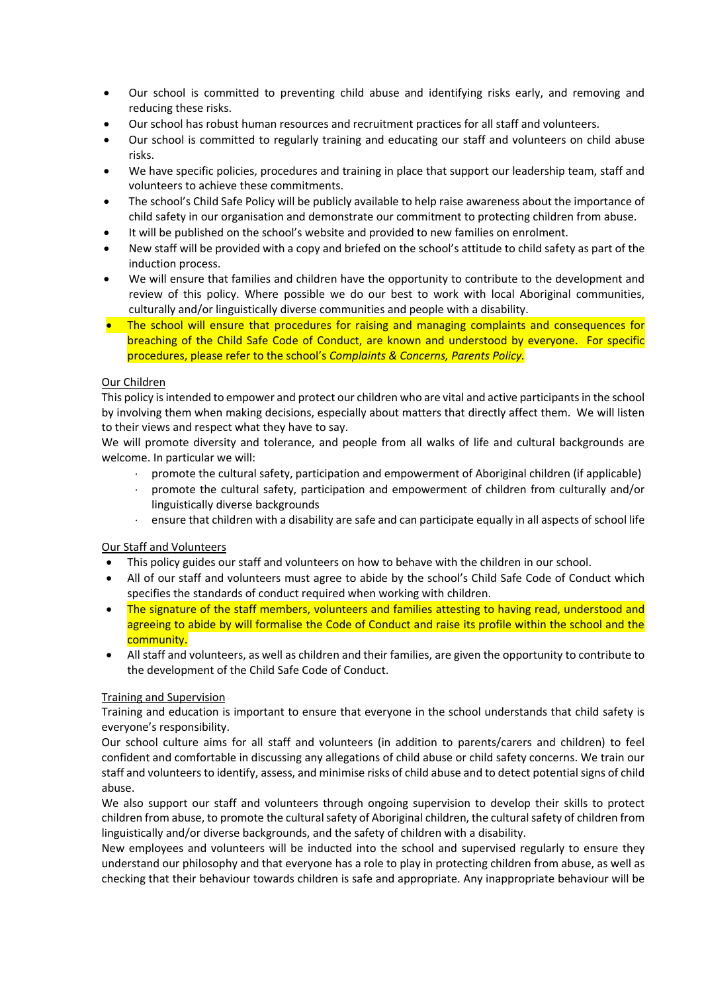- Our school is committed to preventing child abuse and identifying risks early, and removing and reducing these risks.
- Our school has robust human resources and recruitment practices for all staff and volunteers.
- Our school is committed to regularly training and educating our staff and volunteers on child abuse risks.
- We have specific policies, procedures and training in place that support our leadership team, staff and volunteers to achieve these commitments.
- The school's Child Safe Policy will be publicly available to help raise awareness about the importance of child safety in our organisation and demonstrate our commitment to protecting children from abuse.
- It will be published on the school's website and provided to new families on enrolment.
- New staff will be provided with a copy and briefed on the school's attitude to child safety as part of the induction process.
- We will ensure that families and children have the opportunity to contribute to the development and review of this policy. Where possible we do our best to work with local Aboriginal communities, culturally and/or linguistically diverse communities and people with a disability.
- The school will ensure that procedures for raising and managing complaints and consequences for breaching of the Child Safe Code of Conduct, are known and understood by everyone. For specific procedures, please refer to the school's *Complaints & Concerns, Parents Policy.*

# Our Children

This policy is intended to empower and protect our children who are vital and active participants in the school by involving them when making decisions, especially about matters that directly affect them. We will listen to their views and respect what they have to say.

We will promote diversity and tolerance, and people from all walks of life and cultural backgrounds are welcome. In particular we will:

- promote the cultural safety, participation and empowerment of Aboriginal children (if applicable)
- promote the cultural safety, participation and empowerment of children from culturally and/or linguistically diverse backgrounds
- ensure that children with a disability are safe and can participate equally in all aspects of school life

# Our Staff and Volunteers

- This policy guides our staff and volunteers on how to behave with the children in our school.
- All of our staff and volunteers must agree to abide by the school's Child Safe Code of Conduct which specifies the standards of conduct required when working with children.
- The signature of the staff members, volunteers and families attesting to having read, understood and agreeing to abide by will formalise the Code of Conduct and raise its profile within the school and the community.
- All staff and volunteers, as well as children and their families, are given the opportunity to contribute to the development of the Child Safe Code of Conduct.

# Training and Supervision

Training and education is important to ensure that everyone in the school understands that child safety is everyone's responsibility.

Our school culture aims for all staff and volunteers (in addition to parents/carers and children) to feel confident and comfortable in discussing any allegations of child abuse or child safety concerns. We train our staff and volunteers to identify, assess, and minimise risks of child abuse and to detect potential signs of child abuse.

We also support our staff and volunteers through ongoing supervision to develop their skills to protect children from abuse, to promote the cultural safety of Aboriginal children, the cultural safety of children from linguistically and/or diverse backgrounds, and the safety of children with a disability.

New employees and volunteers will be inducted into the school and supervised regularly to ensure they understand our philosophy and that everyone has a role to play in protecting children from abuse, as well as checking that their behaviour towards children is safe and appropriate. Any inappropriate behaviour will be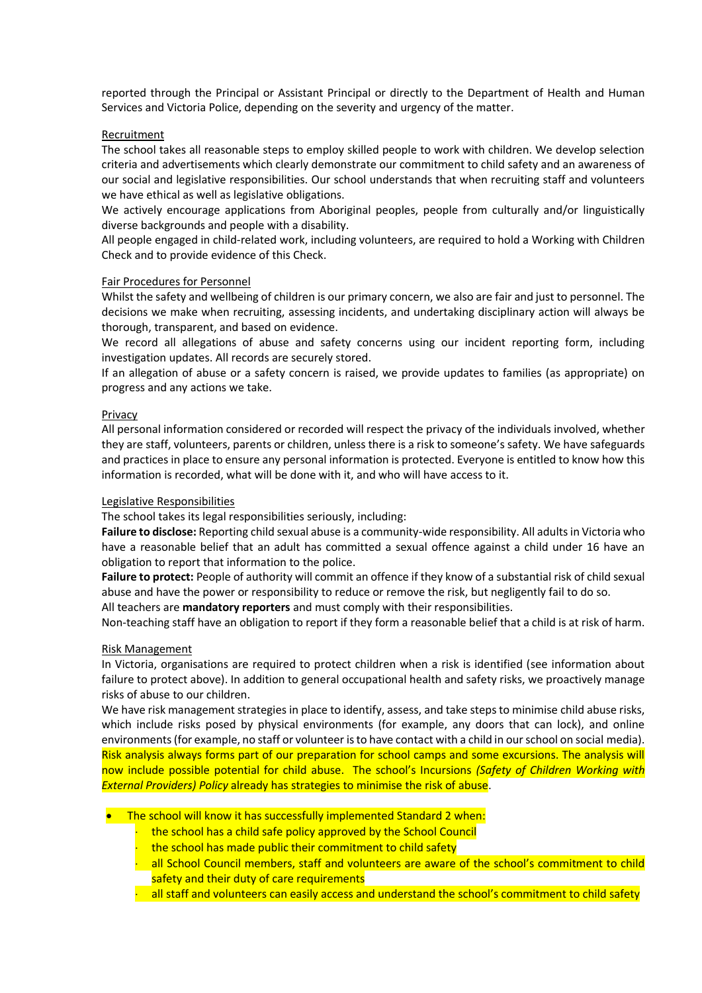reported through the Principal or Assistant Principal or directly to the Department of Health and Human Services and Victoria Police, depending on the severity and urgency of the matter.

## **Recruitment**

The school takes all reasonable steps to employ skilled people to work with children. We develop selection criteria and advertisements which clearly demonstrate our commitment to child safety and an awareness of our social and legislative responsibilities. Our school understands that when recruiting staff and volunteers we have ethical as well as legislative obligations.

We actively encourage applications from Aboriginal peoples, people from culturally and/or linguistically diverse backgrounds and people with a disability.

All people engaged in child-related work, including volunteers, are required to hold a Working with Children Check and to provide evidence of this Check.

### Fair Procedures for Personnel

Whilst the safety and wellbeing of children is our primary concern, we also are fair and just to personnel. The decisions we make when recruiting, assessing incidents, and undertaking disciplinary action will always be thorough, transparent, and based on evidence.

We record all allegations of abuse and safety concerns using our incident reporting form, including investigation updates. All records are securely stored.

If an allegation of abuse or a safety concern is raised, we provide updates to families (as appropriate) on progress and any actions we take.

### Privacy

All personal information considered or recorded will respect the privacy of the individuals involved, whether they are staff, volunteers, parents or children, unless there is a risk to someone's safety. We have safeguards and practices in place to ensure any personal information is protected. Everyone is entitled to know how this information is recorded, what will be done with it, and who will have access to it.

### Legislative Responsibilities

The school takes its legal responsibilities seriously, including:

**Failure to disclose:** Reporting child sexual abuse is a community-wide responsibility. All adults in Victoria who have a reasonable belief that an adult has committed a sexual offence against a child under 16 have an obligation to report that information to the police.

**Failure to protect:** People of authority will commit an offence if they know of a substantial risk of child sexual abuse and have the power or responsibility to reduce or remove the risk, but negligently fail to do so.

All teachers are **mandatory reporters** and must comply with their responsibilities.

Non-teaching staff have an obligation to report if they form a reasonable belief that a child is at risk of harm.

### Risk Management

In Victoria, organisations are required to protect children when a risk is identified (see information about failure to protect above). In addition to general occupational health and safety risks, we proactively manage risks of abuse to our children.

We have risk management strategies in place to identify, assess, and take steps to minimise child abuse risks, which include risks posed by physical environments (for example, any doors that can lock), and online environments (for example, no staff or volunteer is to have contact with a child in our school on social media). Risk analysis always forms part of our preparation for school camps and some excursions. The analysis will now include possible potential for child abuse. The school's Incursions *(Safety of Children Working with External Providers) Policy* already has strategies to minimise the risk of abuse.

- The school will know it has successfully implemented Standard 2 when:
	- the school has a child safe policy approved by the School Council
	- the school has made public their commitment to child safety
	- all School Council members, staff and volunteers are aware of the school's commitment to child safety and their duty of care requirements
	- $\cdot$  all staff and volunteers can easily access and understand the school's commitment to child safety